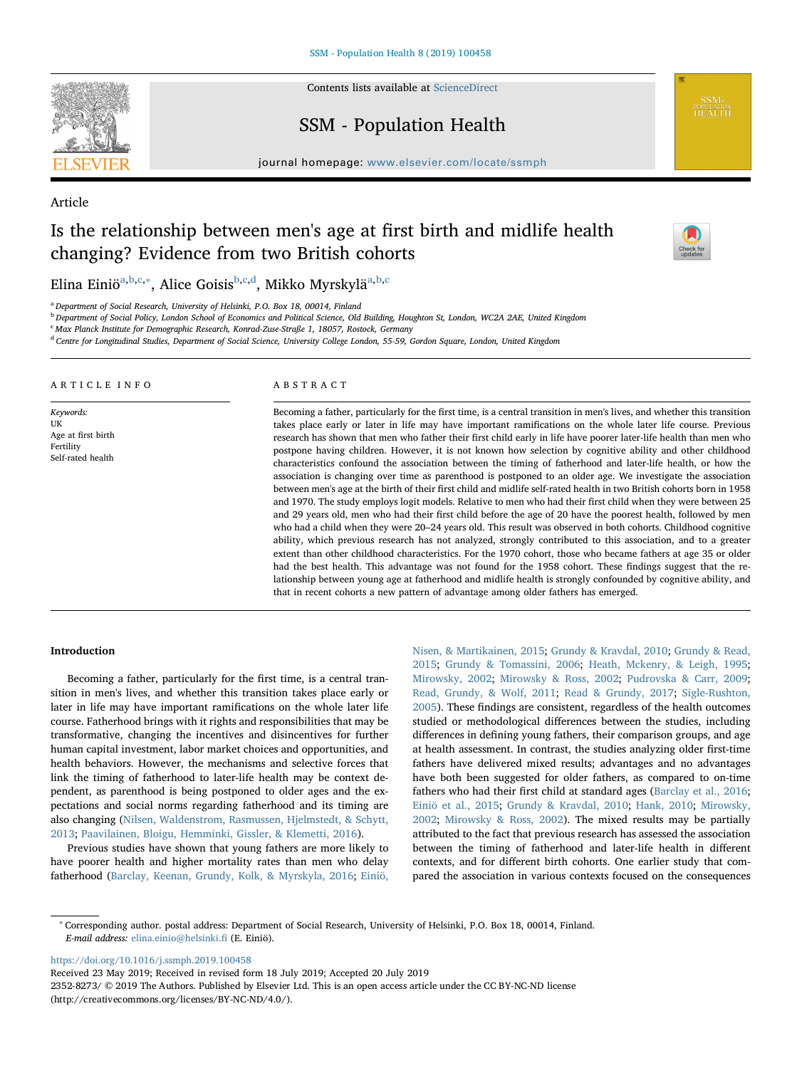

Article

Contents lists available at [ScienceDirect](http://www.sciencedirect.com/science/journal/23528273)

# SSM - Population Health

journal homepage: [www.elsevier.com/locate/ssmph](https://www.elsevier.com/locate/ssmph)

# Is the relationship between men's age at first birth and midlife health changing? Evidence from two British cohorts



Elin[a](#page-0-0) Einiö<sup>a,[b,](#page-0-1)[c,](#page-0-2)</sup>\*, Alice Goisis<sup>[b](#page-0-1)[,c](#page-0-2)[,d](#page-0-4)</sup>, Mikko Myrskylä<sup>a[,b,](#page-0-1)[c](#page-0-2)</sup>

<span id="page-0-0"></span><sup>a</sup> Department of Social Research, University of Helsinki, P.O. Box 18, 00014, Finland

<span id="page-0-1"></span><sup>b</sup> Department of Social Policy, London School of Economics and Political Science, Old Building, Houghton St, London, WC2A 2AE, United Kingdom

<span id="page-0-2"></span><sup>c</sup> Max Planck Institute for Demographic Research, Konrad-Zuse-Straße 1, 18057, Rostock, Germany

<span id="page-0-4"></span><sup>d</sup> Centre for Longitudinal Studies, Department of Social Science, University College London, 55-59, Gordon Square, London, United Kingdom

# ARTICLE INFO

Keywords: UK Age at first birth Fertility Self-rated health

# ABSTRACT

Becoming a father, particularly for the first time, is a central transition in men's lives, and whether this transition takes place early or later in life may have important ramifications on the whole later life course. Previous research has shown that men who father their first child early in life have poorer later-life health than men who postpone having children. However, it is not known how selection by cognitive ability and other childhood characteristics confound the association between the timing of fatherhood and later-life health, or how the association is changing over time as parenthood is postponed to an older age. We investigate the association between men's age at the birth of their first child and midlife self-rated health in two British cohorts born in 1958 and 1970. The study employs logit models. Relative to men who had their first child when they were between 25 and 29 years old, men who had their first child before the age of 20 have the poorest health, followed by men who had a child when they were 20–24 years old. This result was observed in both cohorts. Childhood cognitive ability, which previous research has not analyzed, strongly contributed to this association, and to a greater extent than other childhood characteristics. For the 1970 cohort, those who became fathers at age 35 or older had the best health. This advantage was not found for the 1958 cohort. These findings suggest that the relationship between young age at fatherhood and midlife health is strongly confounded by cognitive ability, and that in recent cohorts a new pattern of advantage among older fathers has emerged.

# Introduction

Becoming a father, particularly for the first time, is a central transition in men's lives, and whether this transition takes place early or later in life may have important ramifications on the whole later life course. Fatherhood brings with it rights and responsibilities that may be transformative, changing the incentives and disincentives for further human capital investment, labor market choices and opportunities, and health behaviors. However, the mechanisms and selective forces that link the timing of fatherhood to later-life health may be context dependent, as parenthood is being postponed to older ages and the expectations and social norms regarding fatherhood and its timing are also changing ([Nilsen, Waldenstrom, Rasmussen, Hjelmstedt, & Schytt,](#page-9-0) [2013;](#page-9-0) [Paavilainen, Bloigu, Hemminki, Gissler, & Klemetti, 2016](#page-9-1)).

Previous studies have shown that young fathers are more likely to have poorer health and higher mortality rates than men who delay fatherhood [\(Barclay, Keenan, Grundy, Kolk, & Myrskyla, 2016;](#page-8-0) [Einiö,](#page-8-1)

[Nisen, & Martikainen, 2015;](#page-8-1) [Grundy & Kravdal, 2010](#page-8-2); [Grundy & Read,](#page-8-3) [2015;](#page-8-3) [Grundy & Tomassini, 2006](#page-8-4); [Heath, Mckenry, & Leigh, 1995](#page-9-2); [Mirowsky, 2002](#page-9-3); [Mirowsky & Ross, 2002;](#page-9-4) [Pudrovska & Carr, 2009](#page-9-5); [Read, Grundy, & Wolf, 2011](#page-9-6); [Read & Grundy, 2017;](#page-9-7) [Sigle-Rushton,](#page-9-8) [2005\)](#page-9-8). These findings are consistent, regardless of the health outcomes studied or methodological differences between the studies, including differences in defining young fathers, their comparison groups, and age at health assessment. In contrast, the studies analyzing older first-time fathers have delivered mixed results; advantages and no advantages have both been suggested for older fathers, as compared to on-time fathers who had their first child at standard ages ([Barclay et al., 2016](#page-8-0); [Einiö et al., 2015;](#page-8-1) [Grundy & Kravdal, 2010;](#page-8-2) [Hank, 2010;](#page-9-9) [Mirowsky,](#page-9-3) [2002;](#page-9-3) [Mirowsky & Ross, 2002](#page-9-4)). The mixed results may be partially attributed to the fact that previous research has assessed the association between the timing of fatherhood and later-life health in different contexts, and for different birth cohorts. One earlier study that compared the association in various contexts focused on the consequences

<span id="page-0-3"></span><sup>∗</sup> Corresponding author. postal address: Department of Social Research, University of Helsinki, P.O. Box 18, 00014, Finland. E-mail address: [elina.einio@helsinki.](mailto:elina.einio@helsinki.fi)fi (E. Einiö).

<https://doi.org/10.1016/j.ssmph.2019.100458>

Received 23 May 2019; Received in revised form 18 July 2019; Accepted 20 July 2019

2352-8273/ © 2019 The Authors. Published by Elsevier Ltd. This is an open access article under the CC BY-NC-ND license (http://creativecommons.org/licenses/BY-NC-ND/4.0/).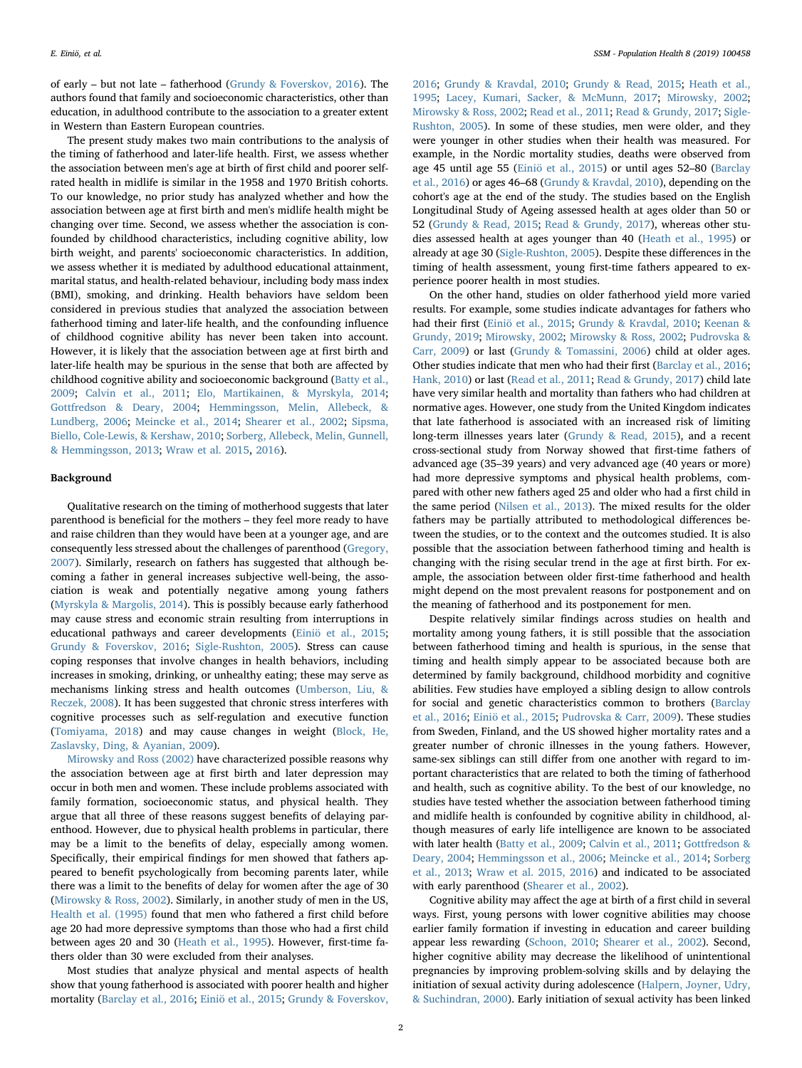of early – but not late – fatherhood ([Grundy & Foverskov, 2016](#page-8-5)). The authors found that family and socioeconomic characteristics, other than education, in adulthood contribute to the association to a greater extent in Western than Eastern European countries.

The present study makes two main contributions to the analysis of the timing of fatherhood and later-life health. First, we assess whether the association between men's age at birth of first child and poorer selfrated health in midlife is similar in the 1958 and 1970 British cohorts. To our knowledge, no prior study has analyzed whether and how the association between age at first birth and men's midlife health might be changing over time. Second, we assess whether the association is confounded by childhood characteristics, including cognitive ability, low birth weight, and parents' socioeconomic characteristics. In addition, we assess whether it is mediated by adulthood educational attainment, marital status, and health-related behaviour, including body mass index (BMI), smoking, and drinking. Health behaviors have seldom been considered in previous studies that analyzed the association between fatherhood timing and later-life health, and the confounding influence of childhood cognitive ability has never been taken into account. However, it is likely that the association between age at first birth and later-life health may be spurious in the sense that both are affected by childhood cognitive ability and socioeconomic background ([Batty et al.,](#page-8-6) [2009;](#page-8-6) [Calvin et al., 2011;](#page-8-7) [Elo, Martikainen, & Myrskyla, 2014](#page-8-8); [Gottfredson & Deary, 2004](#page-8-9); [Hemmingsson, Melin, Allebeck, &](#page-9-10) [Lundberg, 2006;](#page-9-10) [Meincke et al., 2014;](#page-9-11) [Shearer et al., 2002;](#page-9-12) [Sipsma,](#page-9-13) [Biello, Cole-Lewis, & Kershaw, 2010](#page-9-13); [Sorberg, Allebeck, Melin, Gunnell,](#page-9-14) [& Hemmingsson, 2013](#page-9-14); [Wraw et al. 2015](#page-9-15), [2016](#page-9-16)).

#### Background

Qualitative research on the timing of motherhood suggests that later parenthood is beneficial for the mothers – they feel more ready to have and raise children than they would have been at a younger age, and are consequently less stressed about the challenges of parenthood ([Gregory,](#page-8-10) [2007\)](#page-8-10). Similarly, research on fathers has suggested that although becoming a father in general increases subjective well-being, the association is weak and potentially negative among young fathers ([Myrskyla & Margolis, 2014](#page-9-17)). This is possibly because early fatherhood may cause stress and economic strain resulting from interruptions in educational pathways and career developments ([Einiö et al., 2015](#page-8-1); [Grundy & Foverskov, 2016;](#page-8-5) [Sigle-Rushton, 2005](#page-9-8)). Stress can cause coping responses that involve changes in health behaviors, including increases in smoking, drinking, or unhealthy eating; these may serve as mechanisms linking stress and health outcomes ([Umberson, Liu, &](#page-9-18) [Reczek, 2008\)](#page-9-18). It has been suggested that chronic stress interferes with cognitive processes such as self-regulation and executive function ([Tomiyama, 2018](#page-9-19)) and may cause changes in weight ([Block, He,](#page-8-11) [Zaslavsky, Ding, & Ayanian, 2009](#page-8-11)).

Mirowsky [and Ross \(2002\)](#page-9-4) have characterized possible reasons why the association between age at first birth and later depression may occur in both men and women. These include problems associated with family formation, socioeconomic status, and physical health. They argue that all three of these reasons suggest benefits of delaying parenthood. However, due to physical health problems in particular, there may be a limit to the benefits of delay, especially among women. Specifically, their empirical findings for men showed that fathers appeared to benefit psychologically from becoming parents later, while there was a limit to the benefits of delay for women after the age of 30 ([Mirowsky & Ross, 2002\)](#page-9-4). Similarly, in another study of men in the US, [Health et al. \(1995\)](#page-9-2) found that men who fathered a first child before age 20 had more depressive symptoms than those who had a first child between ages 20 and 30 [\(Heath et al., 1995](#page-9-2)). However, first-time fathers older than 30 were excluded from their analyses.

Most studies that analyze physical and mental aspects of health show that young fatherhood is associated with poorer health and higher mortality ([Barclay et al., 2016](#page-8-0); [Einiö et al., 2015](#page-8-1); [Grundy & Foverskov,](#page-8-5)

[2016;](#page-8-5) [Grundy & Kravdal, 2010](#page-8-2); [Grundy & Read, 2015](#page-8-3); [Heath et al.,](#page-9-2) [1995;](#page-9-2) [Lacey, Kumari, Sacker, & McMunn, 2017;](#page-9-20) [Mirowsky, 2002](#page-9-3); [Mirowsky & Ross, 2002](#page-9-4); [Read et al., 2011](#page-9-6); [Read & Grundy, 2017;](#page-9-7) [Sigle-](#page-9-8)[Rushton, 2005](#page-9-8)). In some of these studies, men were older, and they were younger in other studies when their health was measured. For example, in the Nordic mortality studies, deaths were observed from age 45 until age 55 [\(Einiö et al., 2015\)](#page-8-1) or until ages 52–80 [\(Barclay](#page-8-0) [et al., 2016\)](#page-8-0) or ages 46–68 [\(Grundy & Kravdal, 2010\)](#page-8-2), depending on the cohort's age at the end of the study. The studies based on the English Longitudinal Study of Ageing assessed health at ages older than 50 or 52 [\(Grundy & Read, 2015;](#page-8-3) [Read & Grundy, 2017](#page-9-7)), whereas other studies assessed health at ages younger than 40 [\(Heath et al., 1995\)](#page-9-2) or already at age 30 [\(Sigle-Rushton, 2005](#page-9-8)). Despite these differences in the timing of health assessment, young first-time fathers appeared to experience poorer health in most studies.

On the other hand, studies on older fatherhood yield more varied results. For example, some studies indicate advantages for fathers who had their first [\(Einiö et al., 2015;](#page-8-1) [Grundy & Kravdal, 2010](#page-8-2); [Keenan &](#page-9-21) [Grundy, 2019;](#page-9-21) [Mirowsky, 2002](#page-9-3); [Mirowsky & Ross, 2002;](#page-9-4) [Pudrovska &](#page-9-5) [Carr, 2009\)](#page-9-5) or last ([Grundy & Tomassini, 2006](#page-8-4)) child at older ages. Other studies indicate that men who had their first ([Barclay et al., 2016](#page-8-0); [Hank, 2010\)](#page-9-9) or last ([Read et al., 2011](#page-9-6); [Read & Grundy, 2017\)](#page-9-7) child late have very similar health and mortality than fathers who had children at normative ages. However, one study from the United Kingdom indicates that late fatherhood is associated with an increased risk of limiting long-term illnesses years later [\(Grundy & Read, 2015\)](#page-8-3), and a recent cross-sectional study from Norway showed that first-time fathers of advanced age (35–39 years) and very advanced age (40 years or more) had more depressive symptoms and physical health problems, compared with other new fathers aged 25 and older who had a first child in the same period [\(Nilsen et al., 2013](#page-9-0)). The mixed results for the older fathers may be partially attributed to methodological differences between the studies, or to the context and the outcomes studied. It is also possible that the association between fatherhood timing and health is changing with the rising secular trend in the age at first birth. For example, the association between older first-time fatherhood and health might depend on the most prevalent reasons for postponement and on the meaning of fatherhood and its postponement for men.

Despite relatively similar findings across studies on health and mortality among young fathers, it is still possible that the association between fatherhood timing and health is spurious, in the sense that timing and health simply appear to be associated because both are determined by family background, childhood morbidity and cognitive abilities. Few studies have employed a sibling design to allow controls for social and genetic characteristics common to brothers [\(Barclay](#page-8-0) [et al., 2016;](#page-8-0) [Einiö et al., 2015;](#page-8-1) [Pudrovska & Carr, 2009\)](#page-9-5). These studies from Sweden, Finland, and the US showed higher mortality rates and a greater number of chronic illnesses in the young fathers. However, same-sex siblings can still differ from one another with regard to important characteristics that are related to both the timing of fatherhood and health, such as cognitive ability. To the best of our knowledge, no studies have tested whether the association between fatherhood timing and midlife health is confounded by cognitive ability in childhood, although measures of early life intelligence are known to be associated with later health [\(Batty et al., 2009](#page-8-6); [Calvin et al., 2011](#page-8-7); [Gottfredson &](#page-8-9) [Deary, 2004](#page-8-9); [Hemmingsson et al., 2006;](#page-9-10) Meincke [et al., 2014;](#page-9-11) [Sorberg](#page-9-14) [et al., 2013;](#page-9-14) [Wraw et al. 2015, 2016](#page-9-15)) and indicated to be associated with early parenthood ([Shearer et al., 2002\)](#page-9-12).

Cognitive ability may affect the age at birth of a first child in several ways. First, young persons with lower cognitive abilities may choose earlier family formation if investing in education and career building appear less rewarding [\(Schoon, 2010;](#page-9-22) [Shearer et al., 2002](#page-9-12)). Second, higher cognitive ability may decrease the likelihood of unintentional pregnancies by improving problem-solving skills and by delaying the initiation of sexual activity during adolescence ([Halpern, Joyner, Udry,](#page-9-23) [& Suchindran, 2000](#page-9-23)). Early initiation of sexual activity has been linked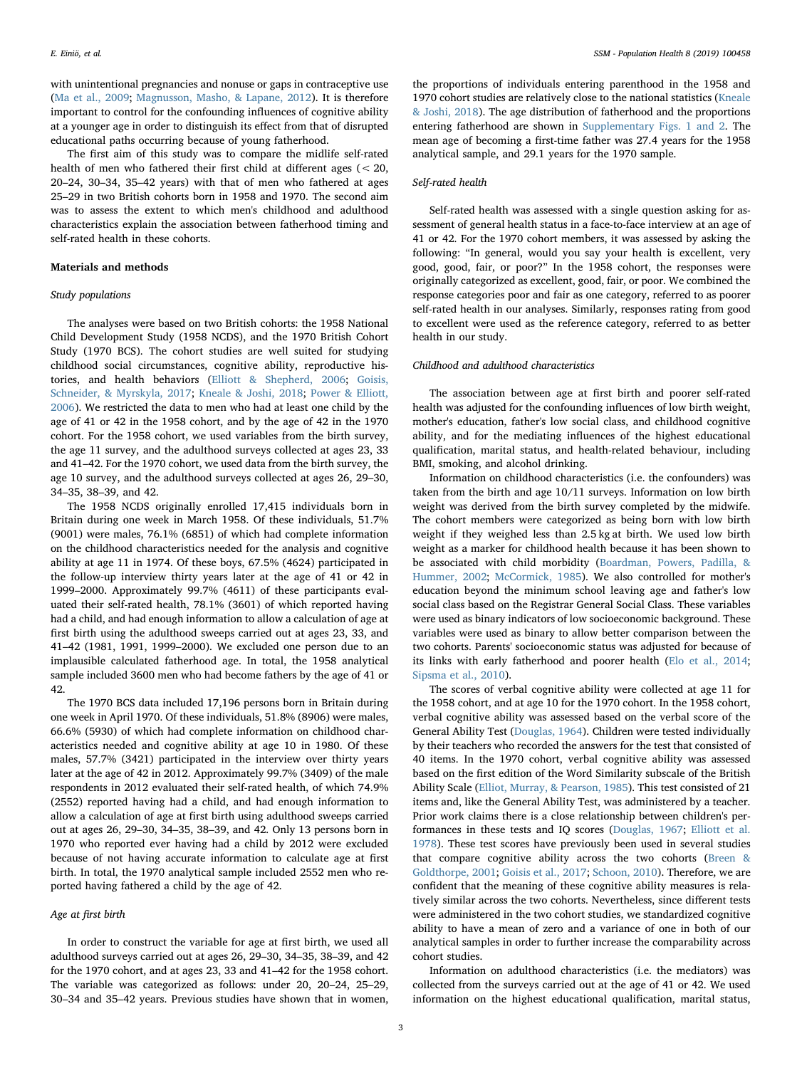with unintentional pregnancies and nonuse or gaps in contraceptive use ([Ma et al., 2009](#page-9-24); [Magnusson, Masho, & Lapane, 2012](#page-9-25)). It is therefore important to control for the confounding influences of cognitive ability at a younger age in order to distinguish its effect from that of disrupted educational paths occurring because of young fatherhood.

The first aim of this study was to compare the midlife self-rated health of men who fathered their first child at different ages (< 20, 20–24, 30–34, 35–42 years) with that of men who fathered at ages 25–29 in two British cohorts born in 1958 and 1970. The second aim was to assess the extent to which men's childhood and adulthood characteristics explain the association between fatherhood timing and self-rated health in these cohorts.

# Materials and methods

# Study populations

The analyses were based on two British cohorts: the 1958 National Child Development Study (1958 NCDS), and the 1970 British Cohort Study (1970 BCS). The cohort studies are well suited for studying childhood social circumstances, cognitive ability, reproductive histories, and health behaviors [\(Elliott & Shepherd, 2006;](#page-8-12) [Goisis,](#page-8-13) [Schneider, & Myrskyla, 2017](#page-8-13); [Kneale & Joshi, 2018](#page-9-26); [Power & Elliott,](#page-9-27) [2006\)](#page-9-27). We restricted the data to men who had at least one child by the age of 41 or 42 in the 1958 cohort, and by the age of 42 in the 1970 cohort. For the 1958 cohort, we used variables from the birth survey, the age 11 survey, and the adulthood surveys collected at ages 23, 33 and 41–42. For the 1970 cohort, we used data from the birth survey, the age 10 survey, and the adulthood surveys collected at ages 26, 29–30, 34–35, 38–39, and 42.

The 1958 NCDS originally enrolled 17,415 individuals born in Britain during one week in March 1958. Of these individuals, 51.7% (9001) were males, 76.1% (6851) of which had complete information on the childhood characteristics needed for the analysis and cognitive ability at age 11 in 1974. Of these boys, 67.5% (4624) participated in the follow-up interview thirty years later at the age of 41 or 42 in 1999–2000. Approximately 99.7% (4611) of these participants evaluated their self-rated health, 78.1% (3601) of which reported having had a child, and had enough information to allow a calculation of age at first birth using the adulthood sweeps carried out at ages 23, 33, and 41–42 (1981, 1991, 1999–2000). We excluded one person due to an implausible calculated fatherhood age. In total, the 1958 analytical sample included 3600 men who had become fathers by the age of 41 or 42.

The 1970 BCS data included 17,196 persons born in Britain during one week in April 1970. Of these individuals, 51.8% (8906) were males, 66.6% (5930) of which had complete information on childhood characteristics needed and cognitive ability at age 10 in 1980. Of these males, 57.7% (3421) participated in the interview over thirty years later at the age of 42 in 2012. Approximately 99.7% (3409) of the male respondents in 2012 evaluated their self-rated health, of which 74.9% (2552) reported having had a child, and had enough information to allow a calculation of age at first birth using adulthood sweeps carried out at ages 26, 29–30, 34–35, 38–39, and 42. Only 13 persons born in 1970 who reported ever having had a child by 2012 were excluded because of not having accurate information to calculate age at first birth. In total, the 1970 analytical sample included 2552 men who reported having fathered a child by the age of 42.

# Age at first birth

In order to construct the variable for age at first birth, we used all adulthood surveys carried out at ages 26, 29–30, 34–35, 38–39, and 42 for the 1970 cohort, and at ages 23, 33 and 41–42 for the 1958 cohort. The variable was categorized as follows: under 20, 20–24, 25–29, 30–34 and 35–42 years. Previous studies have shown that in women,

the proportions of individuals entering parenthood in the 1958 and 1970 cohort studies are relatively close to the national statistics ([Kneale](#page-9-26) [& Joshi, 2018\)](#page-9-26). The age distribution of fatherhood and the proportions entering fatherhood are shown in Supplementary Figs. 1 and 2. The mean age of becoming a first-time father was 27.4 years for the 1958 analytical sample, and 29.1 years for the 1970 sample.

# Self-rated health

Self-rated health was assessed with a single question asking for assessment of general health status in a face-to-face interview at an age of 41 or 42. For the 1970 cohort members, it was assessed by asking the following: "In general, would you say your health is excellent, very good, good, fair, or poor?" In the 1958 cohort, the responses were originally categorized as excellent, good, fair, or poor. We combined the response categories poor and fair as one category, referred to as poorer self-rated health in our analyses. Similarly, responses rating from good to excellent were used as the reference category, referred to as better health in our study.

#### Childhood and adulthood characteristics

The association between age at first birth and poorer self-rated health was adjusted for the confounding influences of low birth weight, mother's education, father's low social class, and childhood cognitive ability, and for the mediating influences of the highest educational qualification, marital status, and health-related behaviour, including BMI, smoking, and alcohol drinking.

Information on childhood characteristics (i.e. the confounders) was taken from the birth and age 10/11 surveys. Information on low birth weight was derived from the birth survey completed by the midwife. The cohort members were categorized as being born with low birth weight if they weighed less than 2.5 kg at birth. We used low birth weight as a marker for childhood health because it has been shown to be associated with child morbidity ([Boardman, Powers, Padilla, &](#page-8-14) [Hummer, 2002;](#page-8-14) [McCormick, 1985](#page-9-28)). We also controlled for mother's education beyond the minimum school leaving age and father's low social class based on the Registrar General Social Class. These variables were used as binary indicators of low socioeconomic background. These variables were used as binary to allow better comparison between the two cohorts. Parents' socioeconomic status was adjusted for because of its links with early fatherhood and poorer health ([Elo et al., 2014](#page-8-8); [Sipsma et al., 2010](#page-9-13)).

The scores of verbal cognitive ability were collected at age 11 for the 1958 cohort, and at age 10 for the 1970 cohort. In the 1958 cohort, verbal cognitive ability was assessed based on the verbal score of the General Ability Test [\(Douglas,](#page-8-15) 1964). Children were tested individually by their teachers who recorded the answers for the test that consisted of 40 items. In the 1970 cohort, verbal cognitive ability was assessed based on the first edition of the Word Similarity subscale of the British Ability Scale ([Elliot, Murray, & Pearson, 1985\)](#page-8-16). This test consisted of 21 items and, like the General Ability Test, was administered by a teacher. Prior work claims there is a close relationship between children's performances in these tests and IQ scores [\(Douglas, 1967;](#page-8-17) [Elliott et al.](#page-8-18) [1978\)](#page-8-18). These test scores have previously been used in several studies that compare cognitive ability across the two cohorts [\(Breen &](#page-8-19) [Goldthorpe, 2001;](#page-8-19) [Goisis et al., 2017](#page-8-13); [Schoon, 2010](#page-9-22)). Therefore, we are confident that the meaning of these cognitive ability measures is relatively similar across the two cohorts. Nevertheless, since different tests were administered in the two cohort studies, we standardized cognitive ability to have a mean of zero and a variance of one in both of our analytical samples in order to further increase the comparability across cohort studies.

Information on adulthood characteristics (i.e. the mediators) was collected from the surveys carried out at the age of 41 or 42. We used information on the highest educational qualification, marital status,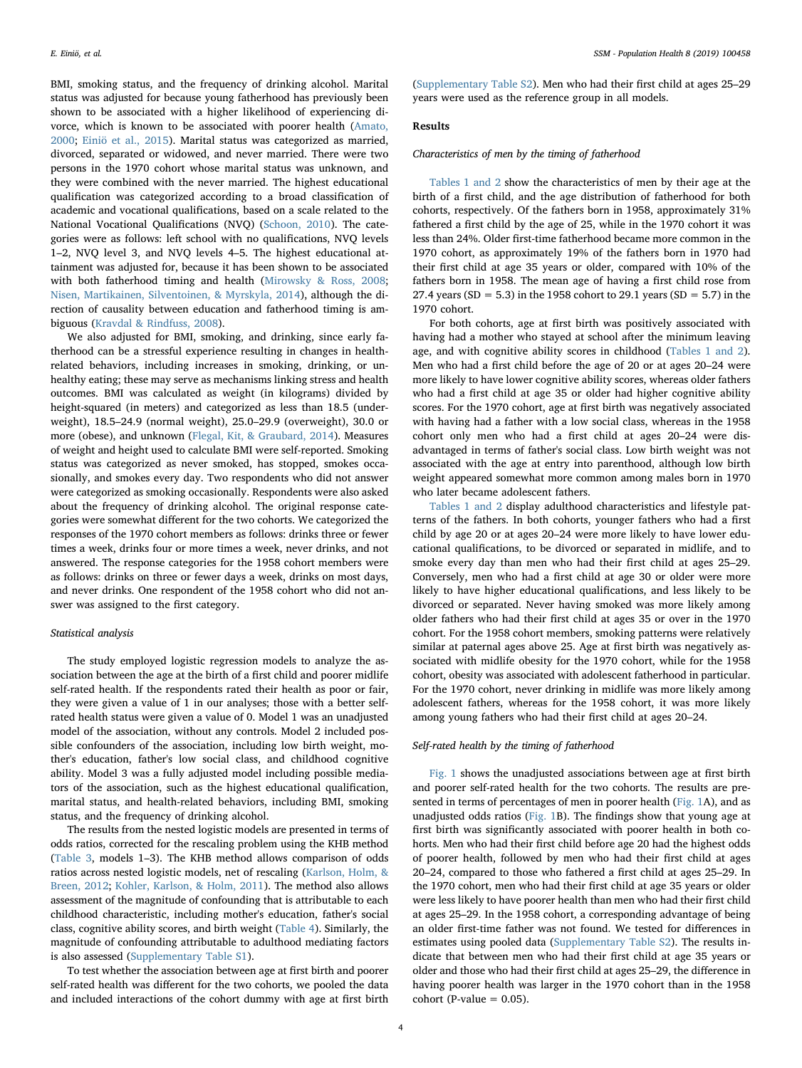BMI, smoking status, and the frequency of drinking alcohol. Marital status was adjusted for because young fatherhood has previously been shown to be associated with a higher likelihood of experiencing divorce, which is known to be associated with poorer health [\(Amato,](#page-8-20) [2000;](#page-8-20) [Einiö et al., 2015](#page-8-1)). Marital status was categorized as married, divorced, separated or widowed, and never married. There were two persons in the 1970 cohort whose marital status was unknown, and they were combined with the never married. The highest educational qualification was categorized according to a broad classification of academic and vocational qualifications, based on a scale related to the National Vocational Qualifications (NVQ) ([Schoon, 2010\)](#page-9-22). The categories were as follows: left school with no qualifications, NVQ levels 1–2, NVQ level 3, and NVQ levels 4–5. The highest educational attainment was adjusted for, because it has been shown to be associated with both fatherhood timing and health ([Mirowsky & Ross, 2008](#page-9-29); [Nisen, Martikainen, Silventoinen, & Myrskyla, 2014](#page-9-30)), although the direction of causality between education and fatherhood timing is ambiguous ([Kravdal & Rindfuss, 2008](#page-9-31)).

We also adjusted for BMI, smoking, and drinking, since early fatherhood can be a stressful experience resulting in changes in healthrelated behaviors, including increases in smoking, drinking, or unhealthy eating; these may serve as mechanisms linking stress and health outcomes. BMI was calculated as weight (in kilograms) divided by height-squared (in meters) and categorized as less than 18.5 (underweight), 18.5–24.9 (normal weight), 25.0–29.9 (overweight), 30.0 or more (obese), and unknown ([Flegal, Kit, & Graubard, 2014](#page-8-21)). Measures of weight and height used to calculate BMI were self-reported. Smoking status was categorized as never smoked, has stopped, smokes occasionally, and smokes every day. Two respondents who did not answer were categorized as smoking occasionally. Respondents were also asked about the frequency of drinking alcohol. The original response categories were somewhat different for the two cohorts. We categorized the responses of the 1970 cohort members as follows: drinks three or fewer times a week, drinks four or more times a week, never drinks, and not answered. The response categories for the 1958 cohort members were as follows: drinks on three or fewer days a week, drinks on most days, and never drinks. One respondent of the 1958 cohort who did not answer was assigned to the first category.

#### Statistical analysis

The study employed logistic regression models to analyze the association between the age at the birth of a first child and poorer midlife self-rated health. If the respondents rated their health as poor or fair, they were given a value of 1 in our analyses; those with a better selfrated health status were given a value of 0. Model 1 was an unadjusted model of the association, without any controls. Model 2 included possible confounders of the association, including low birth weight, mother's education, father's low social class, and childhood cognitive ability. Model 3 was a fully adjusted model including possible mediators of the association, such as the highest educational qualification, marital status, and health-related behaviors, including BMI, smoking status, and the frequency of drinking alcohol.

The results from the nested logistic models are presented in terms of odds ratios, corrected for the rescaling problem using the KHB method ([Table 3](#page-5-0), models 1–3). The KHB method allows comparison of odds ratios across nested logistic models, net of rescaling [\(Karlson, Holm, &](#page-9-32) [Breen, 2012;](#page-9-32) [Kohler, Karlson, & Holm, 2011](#page-9-33)). The method also allows assessment of the magnitude of confounding that is attributable to each childhood characteristic, including mother's education, father's social class, cognitive ability scores, and birth weight ([Table 4\)](#page-6-0). Similarly, the magnitude of confounding attributable to adulthood mediating factors is also assessed (Supplementary Table S1).

To test whether the association between age at first birth and poorer self-rated health was different for the two cohorts, we pooled the data and included interactions of the cohort dummy with age at first birth

(Supplementary Table S2). Men who had their first child at ages 25–29 years were used as the reference group in all models.

# Results

#### Characteristics of men by the timing of fatherhood

[Tables 1 and 2](#page-4-0) show the characteristics of men by their age at the birth of a first child, and the age distribution of fatherhood for both cohorts, respectively. Of the fathers born in 1958, approximately 31% fathered a first child by the age of 25, while in the 1970 cohort it was less than 24%. Older first-time fatherhood became more common in the 1970 cohort, as approximately 19% of the fathers born in 1970 had their first child at age 35 years or older, compared with 10% of the fathers born in 1958. The mean age of having a first child rose from 27.4 years (SD = 5.3) in the 1958 cohort to 29.1 years (SD = 5.7) in the 1970 cohort.

For both cohorts, age at first birth was positively associated with having had a mother who stayed at school after the minimum leaving age, and with cognitive ability scores in childhood ([Tables 1 and 2](#page-4-0)). Men who had a first child before the age of 20 or at ages 20–24 were more likely to have lower cognitive ability scores, whereas older fathers who had a first child at age 35 or older had higher cognitive ability scores. For the 1970 cohort, age at first birth was negatively associated with having had a father with a low social class, whereas in the 1958 cohort only men who had a first child at ages 20–24 were disadvantaged in terms of father's social class. Low birth weight was not associated with the age at entry into parenthood, although low birth weight appeared somewhat more common among males born in 1970 who later became adolescent fathers.

[Tables 1 and 2](#page-4-0) display adulthood characteristics and lifestyle patterns of the fathers. In both cohorts, younger fathers who had a first child by age 20 or at ages 20–24 were more likely to have lower educational qualifications, to be divorced or separated in midlife, and to smoke every day than men who had their first child at ages 25–29. Conversely, men who had a first child at age 30 or older were more likely to have higher educational qualifications, and less likely to be divorced or separated. Never having smoked was more likely among older fathers who had their first child at ages 35 or over in the 1970 cohort. For the 1958 cohort members, smoking patterns were relatively similar at paternal ages above 25. Age at first birth was negatively associated with midlife obesity for the 1970 cohort, while for the 1958 cohort, obesity was associated with adolescent fatherhood in particular. For the 1970 cohort, never drinking in midlife was more likely among adolescent fathers, whereas for the 1958 cohort, it was more likely among young fathers who had their first child at ages 20–24.

#### Self-rated health by the timing of fatherhood

[Fig. 1](#page-6-1) shows the unadjusted associations between age at first birth and poorer self-rated health for the two cohorts. The results are presented in terms of percentages of men in poorer health ([Fig. 1A](#page-6-1)), and as unadjusted odds ratios ([Fig. 1](#page-6-1)B). The findings show that young age at first birth was significantly associated with poorer health in both cohorts. Men who had their first child before age 20 had the highest odds of poorer health, followed by men who had their first child at ages 20–24, compared to those who fathered a first child at ages 25–29. In the 1970 cohort, men who had their first child at age 35 years or older were less likely to have poorer health than men who had their first child at ages 25–29. In the 1958 cohort, a corresponding advantage of being an older first-time father was not found. We tested for differences in estimates using pooled data (Supplementary Table S2). The results indicate that between men who had their first child at age 35 years or older and those who had their first child at ages 25–29, the difference in having poorer health was larger in the 1970 cohort than in the 1958  $\text{cohort}$  (P-value = 0.05).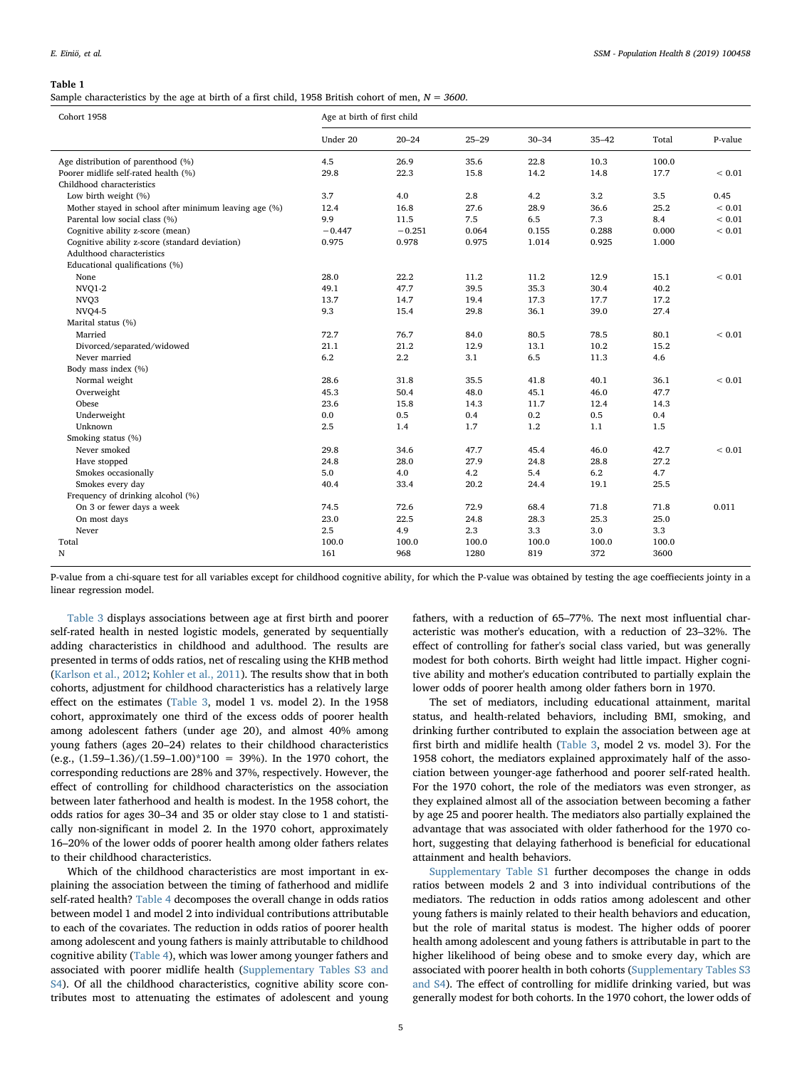#### <span id="page-4-0"></span>Table 1

Sample characteristics by the age at birth of a first child, 1958 British cohort of men,  $N = 3600$ .

| Cohort 1958                                           | Age at birth of first child |           |           |           |           |       |            |
|-------------------------------------------------------|-----------------------------|-----------|-----------|-----------|-----------|-------|------------|
|                                                       | Under 20                    | $20 - 24$ | $25 - 29$ | $30 - 34$ | $35 - 42$ | Total | P-value    |
| Age distribution of parenthood (%)                    | 4.5                         | 26.9      | 35.6      | 22.8      | 10.3      | 100.0 |            |
| Poorer midlife self-rated health (%)                  | 29.8                        | 22.3      | 15.8      | 14.2      | 14.8      | 17.7  | ${}< 0.01$ |
| Childhood characteristics                             |                             |           |           |           |           |       |            |
| Low birth weight (%)                                  | 3.7                         | 4.0       | 2.8       | 4.2       | 3.2       | 3.5   | 0.45       |
| Mother stayed in school after minimum leaving age (%) | 12.4                        | 16.8      | 27.6      | 28.9      | 36.6      | 25.2  | ${}< 0.01$ |
| Parental low social class (%)                         | 9.9                         | 11.5      | 7.5       | 6.5       | 7.3       | 8.4   | ${}< 0.01$ |
| Cognitive ability z-score (mean)                      | $-0.447$                    | $-0.251$  | 0.064     | 0.155     | 0.288     | 0.000 | ${}< 0.01$ |
| Cognitive ability z-score (standard deviation)        | 0.975                       | 0.978     | 0.975     | 1.014     | 0.925     | 1.000 |            |
| Adulthood characteristics                             |                             |           |           |           |           |       |            |
| Educational qualifications (%)                        |                             |           |           |           |           |       |            |
| None                                                  | 28.0                        | 22.2      | 11.2      | 11.2      | 12.9      | 15.1  | ${}< 0.01$ |
| <b>NVQ1-2</b>                                         | 49.1                        | 47.7      | 39.5      | 35.3      | 30.4      | 40.2  |            |
| NVO <sub>3</sub>                                      | 13.7                        | 14.7      | 19.4      | 17.3      | 17.7      | 17.2  |            |
| <b>NVO4-5</b>                                         | 9.3                         | 15.4      | 29.8      | 36.1      | 39.0      | 27.4  |            |
| Marital status (%)                                    |                             |           |           |           |           |       |            |
| Married                                               | 72.7                        | 76.7      | 84.0      | 80.5      | 78.5      | 80.1  | ${}< 0.01$ |
| Divorced/separated/widowed                            | 21.1                        | 21.2      | 12.9      | 13.1      | 10.2      | 15.2  |            |
| Never married                                         | 6.2                         | 2.2       | 3.1       | 6.5       | 11.3      | 4.6   |            |
| Body mass index (%)                                   |                             |           |           |           |           |       |            |
| Normal weight                                         | 28.6                        | 31.8      | 35.5      | 41.8      | 40.1      | 36.1  | ${}< 0.01$ |
| Overweight                                            | 45.3                        | 50.4      | 48.0      | 45.1      | 46.0      | 47.7  |            |
| Obese                                                 | 23.6                        | 15.8      | 14.3      | 11.7      | 12.4      | 14.3  |            |
| Underweight                                           | 0.0                         | 0.5       | 0.4       | 0.2       | 0.5       | 0.4   |            |
| Unknown                                               | 2.5                         | 1.4       | 1.7       | 1.2       | 1.1       | 1.5   |            |
| Smoking status (%)                                    |                             |           |           |           |           |       |            |
| Never smoked                                          | 29.8                        | 34.6      | 47.7      | 45.4      | 46.0      | 42.7  | ${}< 0.01$ |
| Have stopped                                          | 24.8                        | 28.0      | 27.9      | 24.8      | 28.8      | 27.2  |            |
| Smokes occasionally                                   | 5.0                         | 4.0       | 4.2       | 5.4       | 6.2       | 4.7   |            |
| Smokes every day                                      | 40.4                        | 33.4      | 20.2      | 24.4      | 19.1      | 25.5  |            |
| Frequency of drinking alcohol (%)                     |                             |           |           |           |           |       |            |
| On 3 or fewer days a week                             | 74.5                        | 72.6      | 72.9      | 68.4      | 71.8      | 71.8  | 0.011      |
| On most days                                          | 23.0                        | 22.5      | 24.8      | 28.3      | 25.3      | 25.0  |            |
| Never                                                 | 2.5                         | 4.9       | 2.3       | 3.3       | 3.0       | 3.3   |            |
| Total                                                 | 100.0                       | 100.0     | 100.0     | 100.0     | 100.0     | 100.0 |            |
| N                                                     | 161                         | 968       | 1280      | 819       | 372       | 3600  |            |
|                                                       |                             |           |           |           |           |       |            |

P-value from a chi-square test for all variables except for childhood cognitive ability, for which the P-value was obtained by testing the age coeffiecients jointy in a linear regression model.

[Table 3](#page-5-0) displays associations between age at first birth and poorer self-rated health in nested logistic models, generated by sequentially adding characteristics in childhood and adulthood. The results are presented in terms of odds ratios, net of rescaling using the KHB method ([Karlson et al., 2012](#page-9-32); [Kohler et al., 2011\)](#page-9-33). The results show that in both cohorts, adjustment for childhood characteristics has a relatively large effect on the estimates ([Table 3](#page-5-0), model 1 vs. model 2). In the 1958 cohort, approximately one third of the excess odds of poorer health among adolescent fathers (under age 20), and almost 40% among young fathers (ages 20–24) relates to their childhood characteristics (e.g.,  $(1.59-1.36)/(1.59-1.00)*100 = 39%$ ). In the 1970 cohort, the corresponding reductions are 28% and 37%, respectively. However, the effect of controlling for childhood characteristics on the association between later fatherhood and health is modest. In the 1958 cohort, the odds ratios for ages 30–34 and 35 or older stay close to 1 and statistically non-significant in model 2. In the 1970 cohort, approximately 16–20% of the lower odds of poorer health among older fathers relates to their childhood characteristics.

Which of the childhood characteristics are most important in explaining the association between the timing of fatherhood and midlife self-rated health? [Table 4](#page-6-0) decomposes the overall change in odds ratios between model 1 and model 2 into individual contributions attributable to each of the covariates. The reduction in odds ratios of poorer health among adolescent and young fathers is mainly attributable to childhood cognitive ability [\(Table 4](#page-6-0)), which was lower among younger fathers and associated with poorer midlife health (Supplementary Tables S3 and S4). Of all the childhood characteristics, cognitive ability score contributes most to attenuating the estimates of adolescent and young fathers, with a reduction of 65–77%. The next most influential characteristic was mother's education, with a reduction of 23–32%. The effect of controlling for father's social class varied, but was generally modest for both cohorts. Birth weight had little impact. Higher cognitive ability and mother's education contributed to partially explain the lower odds of poorer health among older fathers born in 1970.

The set of mediators, including educational attainment, marital status, and health-related behaviors, including BMI, smoking, and drinking further contributed to explain the association between age at first birth and midlife health [\(Table 3](#page-5-0), model 2 vs. model 3). For the 1958 cohort, the mediators explained approximately half of the association between younger-age fatherhood and poorer self-rated health. For the 1970 cohort, the role of the mediators was even stronger, as they explained almost all of the association between becoming a father by age 25 and poorer health. The mediators also partially explained the advantage that was associated with older fatherhood for the 1970 cohort, suggesting that delaying fatherhood is beneficial for educational attainment and health behaviors.

Supplementary Table S1 further decomposes the change in odds ratios between models 2 and 3 into individual contributions of the mediators. The reduction in odds ratios among adolescent and other young fathers is mainly related to their health behaviors and education, but the role of marital status is modest. The higher odds of poorer health among adolescent and young fathers is attributable in part to the higher likelihood of being obese and to smoke every day, which are associated with poorer health in both cohorts (Supplementary Tables S3 and S4). The effect of controlling for midlife drinking varied, but was generally modest for both cohorts. In the 1970 cohort, the lower odds of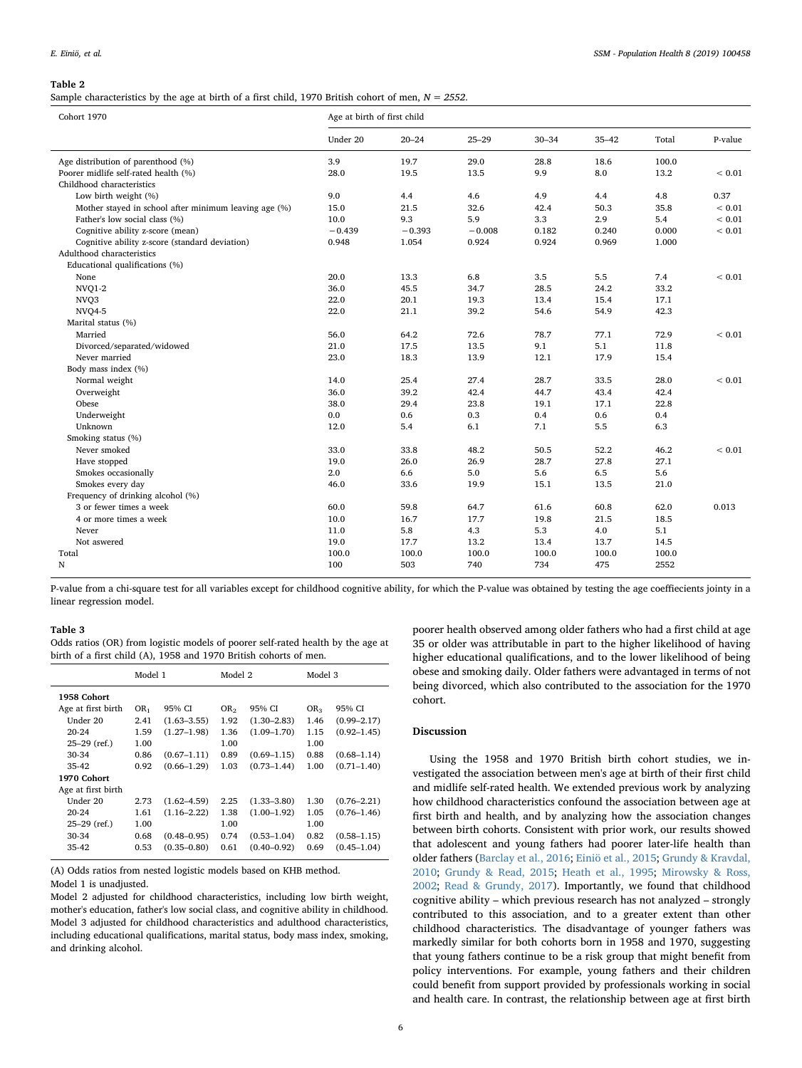#### Table 2

Sample characteristics by the age at birth of a first child, 1970 British cohort of men,  $N = 2552$ .

| Cohort 1970                                           | Age at birth of first child |           |           |           |           |       |            |
|-------------------------------------------------------|-----------------------------|-----------|-----------|-----------|-----------|-------|------------|
|                                                       | Under 20                    | $20 - 24$ | $25 - 29$ | $30 - 34$ | $35 - 42$ | Total | P-value    |
| Age distribution of parenthood (%)                    | 3.9                         | 19.7      | 29.0      | 28.8      | 18.6      | 100.0 |            |
| Poorer midlife self-rated health (%)                  | 28.0                        | 19.5      | 13.5      | 9.9       | 8.0       | 13.2  | ${}< 0.01$ |
| Childhood characteristics                             |                             |           |           |           |           |       |            |
| Low birth weight (%)                                  | 9.0                         | 4.4       | 4.6       | 4.9       | 4.4       | 4.8   | 0.37       |
| Mother stayed in school after minimum leaving age (%) | 15.0                        | 21.5      | 32.6      | 42.4      | 50.3      | 35.8  | ${}< 0.01$ |
| Father's low social class (%)                         | 10.0                        | 9.3       | 5.9       | 3.3       | 2.9       | 5.4   | ${}< 0.01$ |
| Cognitive ability z-score (mean)                      | $-0.439$                    | $-0.393$  | $-0.008$  | 0.182     | 0.240     | 0.000 | ${}< 0.01$ |
| Cognitive ability z-score (standard deviation)        | 0.948                       | 1.054     | 0.924     | 0.924     | 0.969     | 1.000 |            |
| Adulthood characteristics                             |                             |           |           |           |           |       |            |
| Educational qualifications (%)                        |                             |           |           |           |           |       |            |
| None                                                  | 20.0                        | 13.3      | 6.8       | 3.5       | 5.5       | 7.4   | ${}< 0.01$ |
| <b>NVQ1-2</b>                                         | 36.0                        | 45.5      | 34.7      | 28.5      | 24.2      | 33.2  |            |
| NVQ3                                                  | 22.0                        | 20.1      | 19.3      | 13.4      | 15.4      | 17.1  |            |
| <b>NVO4-5</b>                                         | 22.0                        | 21.1      | 39.2      | 54.6      | 54.9      | 42.3  |            |
| Marital status (%)                                    |                             |           |           |           |           |       |            |
| Married                                               | 56.0                        | 64.2      | 72.6      | 78.7      | 77.1      | 72.9  | ${}< 0.01$ |
| Divorced/separated/widowed                            | 21.0                        | 17.5      | 13.5      | 9.1       | 5.1       | 11.8  |            |
| Never married                                         | 23.0                        | 18.3      | 13.9      | 12.1      | 17.9      | 15.4  |            |
| Body mass index (%)                                   |                             |           |           |           |           |       |            |
| Normal weight                                         | 14.0                        | 25.4      | 27.4      | 28.7      | 33.5      | 28.0  | ${}< 0.01$ |
| Overweight                                            | 36.0                        | 39.2      | 42.4      | 44.7      | 43.4      | 42.4  |            |
| Obese                                                 | 38.0                        | 29.4      | 23.8      | 19.1      | 17.1      | 22.8  |            |
| Underweight                                           | 0.0                         | 0.6       | 0.3       | 0.4       | 0.6       | 0.4   |            |
| Unknown                                               | 12.0                        | 5.4       | 6.1       | 7.1       | 5.5       | 6.3   |            |
| Smoking status (%)                                    |                             |           |           |           |           |       |            |
| Never smoked                                          | 33.0                        | 33.8      | 48.2      | 50.5      | 52.2      | 46.2  | ${}< 0.01$ |
| Have stopped                                          | 19.0                        | 26.0      | 26.9      | 28.7      | 27.8      | 27.1  |            |
| Smokes occasionally                                   | 2.0                         | 6.6       | 5.0       | 5.6       | 6.5       | 5.6   |            |
| Smokes every day                                      | 46.0                        | 33.6      | 19.9      | 15.1      | 13.5      | 21.0  |            |
| Frequency of drinking alcohol (%)                     |                             |           |           |           |           |       |            |
| 3 or fewer times a week                               | 60.0                        | 59.8      | 64.7      | 61.6      | 60.8      | 62.0  | 0.013      |
| 4 or more times a week                                | 10.0                        | 16.7      | 17.7      | 19.8      | 21.5      | 18.5  |            |
| Never                                                 | 11.0                        | 5.8       | 4.3       | 5.3       | 4.0       | 5.1   |            |
| Not aswered                                           | 19.0                        | 17.7      | 13.2      | 13.4      | 13.7      | 14.5  |            |
| Total                                                 | 100.0                       | 100.0     | 100.0     | 100.0     | 100.0     | 100.0 |            |
| N                                                     | 100                         | 503       | 740       | 734       | 475       | 2552  |            |
|                                                       |                             |           |           |           |           |       |            |

P-value from a chi-square test for all variables except for childhood cognitive ability, for which the P-value was obtained by testing the age coeffiecients jointy in a linear regression model.

### <span id="page-5-0"></span>Table 3

Odds ratios (OR) from logistic models of poorer self-rated health by the age at birth of a first child (A), 1958 and 1970 British cohorts of men.

|                    | Model 1         |                 | Model 2         |                 | Model 3         |                 |
|--------------------|-----------------|-----------------|-----------------|-----------------|-----------------|-----------------|
| 1958 Cohort        |                 |                 |                 |                 |                 |                 |
| Age at first birth | OR <sub>1</sub> | 95% CI          | OR <sub>2</sub> | 95% CI          | OR <sub>3</sub> | 95% CI          |
| Under 20           | 2.41            | $(1.63 - 3.55)$ | 1.92            | $(1.30 - 2.83)$ | 1.46            | $(0.99 - 2.17)$ |
| $20 - 24$          | 1.59            | $(1.27 - 1.98)$ | 1.36            | $(1.09 - 1.70)$ | 1.15            | $(0.92 - 1.45)$ |
| $25-29$ (ref.)     | 1.00            |                 | 1.00            |                 | 1.00            |                 |
| 30-34              | 0.86            | $(0.67 - 1.11)$ | 0.89            | $(0.69 - 1.15)$ | 0.88            | $(0.68 - 1.14)$ |
| 35-42              | 0.92            | $(0.66 - 1.29)$ | 1.03            | $(0.73 - 1.44)$ | 1.00            | $(0.71 - 1.40)$ |
| 1970 Cohort        |                 |                 |                 |                 |                 |                 |
| Age at first birth |                 |                 |                 |                 |                 |                 |
| Under 20           | 2.73            | $(1.62 - 4.59)$ | 2.25            | $(1.33 - 3.80)$ | 1.30            | $(0.76 - 2.21)$ |
| 20-24              | 1.61            | $(1.16 - 2.22)$ | 1.38            | $(1.00-1.92)$   | 1.05            | $(0.76 - 1.46)$ |
| $25-29$ (ref.)     | 1.00            |                 | 1.00            |                 | 1.00            |                 |
| 30-34              | 0.68            | $(0.48 - 0.95)$ | 0.74            | $(0.53 - 1.04)$ | 0.82            | $(0.58 - 1.15)$ |
| 35-42              | 0.53            | $(0.35 - 0.80)$ | 0.61            | $(0.40 - 0.92)$ | 0.69            | $(0.45 - 1.04)$ |
|                    |                 |                 |                 |                 |                 |                 |

(A) Odds ratios from nested logistic models based on KHB method. Model 1 is unadjusted.

Model 2 adjusted for childhood characteristics, including low birth weight, mother's education, father's low social class, and cognitive ability in childhood. Model 3 adjusted for childhood characteristics and adulthood characteristics, including educational qualifications, marital status, body mass index, smoking, and drinking alcohol.

poorer health observed among older fathers who had a first child at age 35 or older was attributable in part to the higher likelihood of having higher educational qualifications, and to the lower likelihood of being obese and smoking daily. Older fathers were advantaged in terms of not being divorced, which also contributed to the association for the 1970 cohort.

#### Discussion

Using the 1958 and 1970 British birth cohort studies, we investigated the association between men's age at birth of their first child and midlife self-rated health. We extended previous work by analyzing how childhood characteristics confound the association between age at first birth and health, and by analyzing how the association changes between birth cohorts. Consistent with prior work, our results showed that adolescent and young fathers had poorer later-life health than older fathers ([Barclay et al., 2016;](#page-8-0) [Einiö et al., 2015;](#page-8-1) [Grundy & Kravdal,](#page-8-2) [2010;](#page-8-2) [Grundy & Read, 2015;](#page-8-3) [Heath et al., 1995;](#page-9-2) [Mirowsky & Ross,](#page-9-4) [2002;](#page-9-4) [Read & Grundy, 2017\)](#page-9-7). Importantly, we found that childhood cognitive ability – which previous research has not analyzed – strongly contributed to this association, and to a greater extent than other childhood characteristics. The disadvantage of younger fathers was markedly similar for both cohorts born in 1958 and 1970, suggesting that young fathers continue to be a risk group that might benefit from policy interventions. For example, young fathers and their children could benefit from support provided by professionals working in social and health care. In contrast, the relationship between age at first birth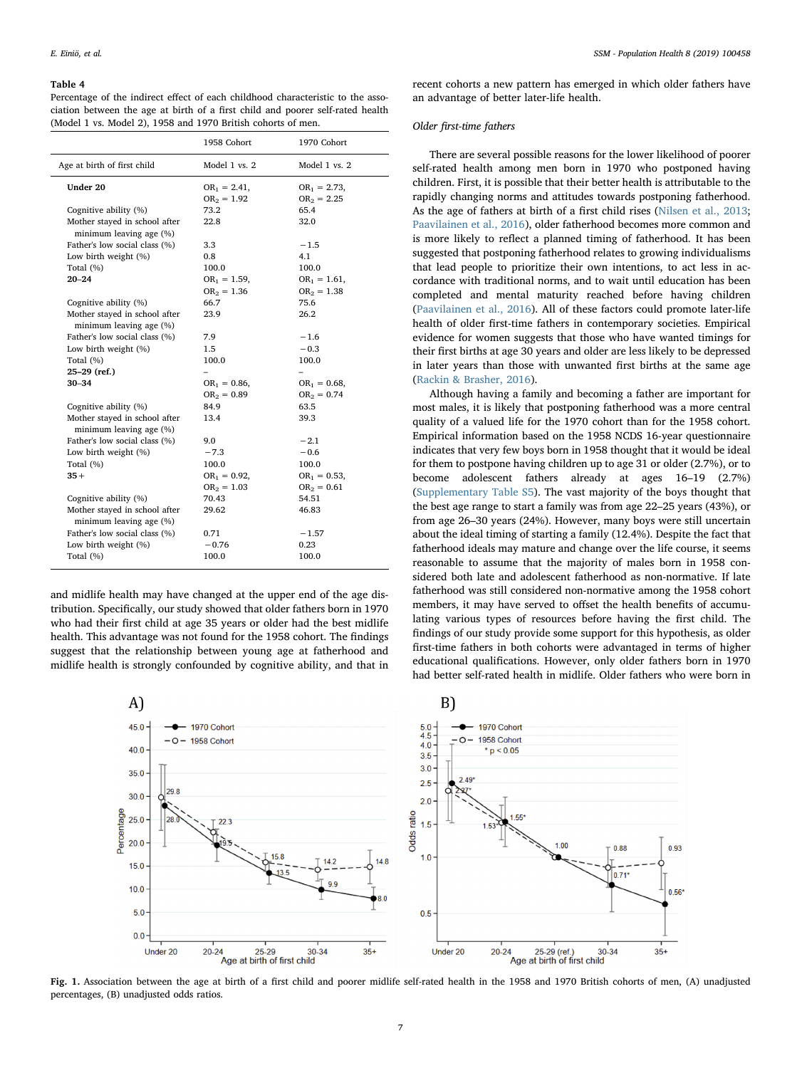#### <span id="page-6-0"></span>Table 4

Percentage of the indirect effect of each childhood characteristic to the association between the age at birth of a first child and poorer self-rated health (Model 1 vs. Model 2), 1958 and 1970 British cohorts of men.

|                                                          | 1958 Cohort     | 1970 Cohort     |
|----------------------------------------------------------|-----------------|-----------------|
| Age at birth of first child                              | Model 1 vs. 2   | Model 1 vs. 2   |
| Under 20                                                 | $OR_1 = 2.41$ , | $OR1 = 2.73,$   |
|                                                          | $OR2 = 1.92$    | $OR2 = 2.25$    |
| Cognitive ability (%)                                    | 73.2            | 65.4            |
| Mother stayed in school after                            | 22.8            | 32.0            |
| minimum leaving age (%)                                  |                 |                 |
| Father's low social class (%)                            | 3.3             | $-1.5$          |
| Low birth weight (%)                                     | 0.8             | 4.1             |
| Total (%)                                                | 100.0           | 100.0           |
| $20 - 24$                                                | $OR_1 = 1.59$ , | $OR_1 = 1.61,$  |
|                                                          | $OR2 = 1.36$    | $OR2 = 1.38$    |
| Cognitive ability (%)                                    | 66.7            | 75.6            |
| Mother stayed in school after                            | 23.9            | 26.2            |
| minimum leaving age (%)                                  |                 |                 |
| Father's low social class (%)                            | 7.9             | $-1.6$          |
| Low birth weight (%)                                     | 1.5             | $-0.3$          |
| Total (%)                                                | 100.0           | 100.0           |
| 25-29 (ref.)                                             |                 |                 |
| $30 - 34$                                                | $OR_1 = 0.86$ , | $OR_1 = 0.68$ , |
|                                                          | $OR_2 = 0.89$   | $OR2 = 0.74$    |
| Cognitive ability (%)                                    | 84.9            | 63.5            |
| Mother stayed in school after<br>minimum leaving age (%) | 13.4            | 39.3            |
| Father's low social class (%)                            | 9.0             | $-2.1$          |
| Low birth weight (%)                                     | $-7.3$          | $-0.6$          |
| Total (%)                                                | 100.0           | 100.0           |
| $35 +$                                                   | $OR_1 = 0.92$ , | $OR_1 = 0.53$ , |
|                                                          | $OR2 = 1.03$    | $OR2 = 0.61$    |
| Cognitive ability (%)                                    | 70.43           | 54.51           |
| Mother stayed in school after<br>minimum leaving age (%) | 29.62           | 46.83           |
| Father's low social class (%)                            | 0.71            | $-1.57$         |
| Low birth weight (%)                                     | $-0.76$         | 0.23            |
| Total (%)                                                | 100.0           | 100.0           |
|                                                          |                 |                 |

and midlife health may have changed at the upper end of the age distribution. Specifically, our study showed that older fathers born in 1970 who had their first child at age 35 years or older had the best midlife health. This advantage was not found for the 1958 cohort. The findings suggest that the relationship between young age at fatherhood and midlife health is strongly confounded by cognitive ability, and that in recent cohorts a new pattern has emerged in which older fathers have an advantage of better later-life health.

# Older first-time fathers

There are several possible reasons for the lower likelihood of poorer self-rated health among men born in 1970 who postponed having children. First, it is possible that their better health is attributable to the rapidly changing norms and attitudes towards postponing fatherhood. As the age of fathers at birth of a first child rises [\(Nilsen et al., 2013](#page-9-0); [Paavilainen et al., 2016\)](#page-9-1), older fatherhood becomes more common and is more likely to reflect a planned timing of fatherhood. It has been suggested that postponing fatherhood relates to growing individualisms that lead people to prioritize their own intentions, to act less in accordance with traditional norms, and to wait until education has been completed and mental maturity reached before having children ([Paavilainen et al., 2016\)](#page-9-1). All of these factors could promote later-life health of older first-time fathers in contemporary societies. Empirical evidence for women suggests that those who have wanted timings for their first births at age 30 years and older are less likely to be depressed in later years than those with unwanted first births at the same age ([Rackin & Brasher, 2016](#page-9-34)).

Although having a family and becoming a father are important for most males, it is likely that postponing fatherhood was a more central quality of a valued life for the 1970 cohort than for the 1958 cohort. Empirical information based on the 1958 NCDS 16-year questionnaire indicates that very few boys born in 1958 thought that it would be ideal for them to postpone having children up to age 31 or older (2.7%), or to become adolescent fathers already at ages 16–19 (2.7%) (Supplementary Table S5). The vast majority of the boys thought that the best age range to start a family was from age 22–25 years (43%), or from age 26–30 years (24%). However, many boys were still uncertain about the ideal timing of starting a family (12.4%). Despite the fact that fatherhood ideals may mature and change over the life course, it seems reasonable to assume that the majority of males born in 1958 considered both late and adolescent fatherhood as non-normative. If late fatherhood was still considered non-normative among the 1958 cohort members, it may have served to offset the health benefits of accumulating various types of resources before having the first child. The findings of our study provide some support for this hypothesis, as older first-time fathers in both cohorts were advantaged in terms of higher educational qualifications. However, only older fathers born in 1970 had better self-rated health in midlife. Older fathers who were born in

<span id="page-6-1"></span>

Fig. 1. Association between the age at birth of a first child and poorer midlife self-rated health in the 1958 and 1970 British cohorts of men, (A) unadjusted percentages, (B) unadjusted odds ratios.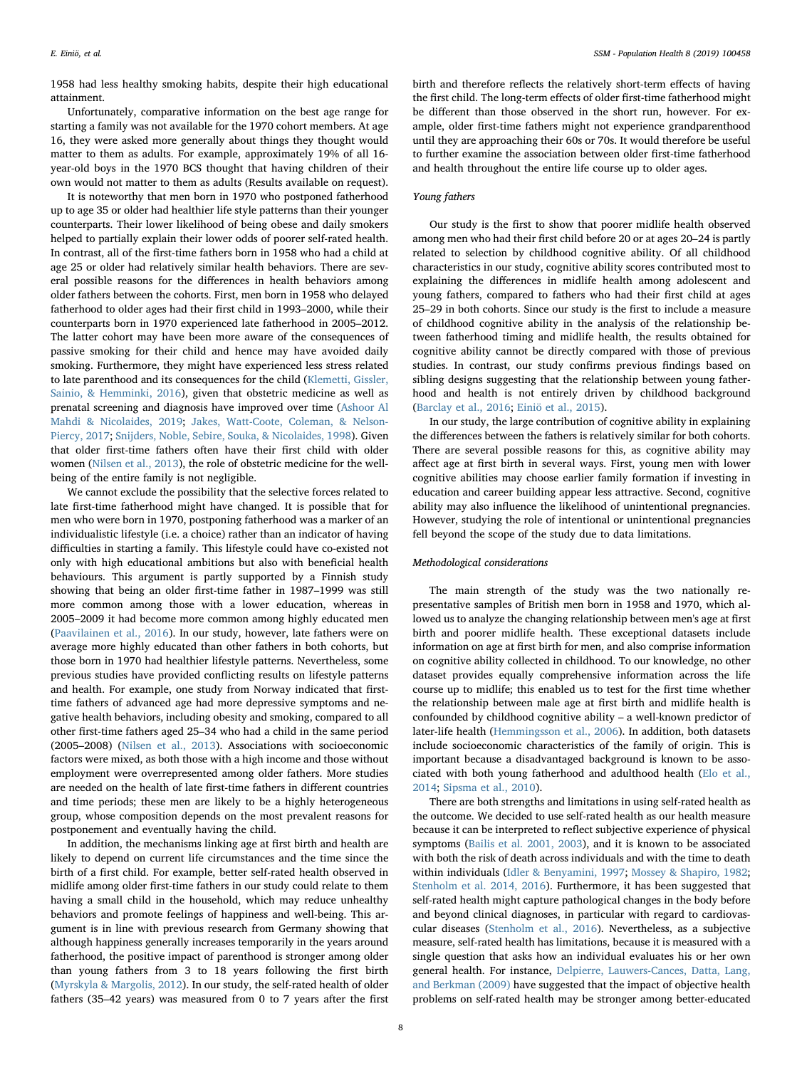1958 had less healthy smoking habits, despite their high educational attainment.

Unfortunately, comparative information on the best age range for starting a family was not available for the 1970 cohort members. At age 16, they were asked more generally about things they thought would matter to them as adults. For example, approximately 19% of all 16 year-old boys in the 1970 BCS thought that having children of their own would not matter to them as adults (Results available on request).

It is noteworthy that men born in 1970 who postponed fatherhood up to age 35 or older had healthier life style patterns than their younger counterparts. Their lower likelihood of being obese and daily smokers helped to partially explain their lower odds of poorer self-rated health. In contrast, all of the first-time fathers born in 1958 who had a child at age 25 or older had relatively similar health behaviors. There are several possible reasons for the differences in health behaviors among older fathers between the cohorts. First, men born in 1958 who delayed fatherhood to older ages had their first child in 1993–2000, while their counterparts born in 1970 experienced late fatherhood in 2005–2012. The latter cohort may have been more aware of the consequences of passive smoking for their child and hence may have avoided daily smoking. Furthermore, they might have experienced less stress related to late parenthood and its consequences for the child [\(Klemetti, Gissler,](#page-9-35) [Sainio, & Hemminki, 2016\)](#page-9-35), given that obstetric medicine as well as prenatal screening and diagnosis have improved over time [\(Ashoor Al](#page-8-22) [Mahdi & Nicolaides, 2019;](#page-8-22) [Jakes, Watt-Coote, Coleman, & Nelson-](#page-9-36)[Piercy, 2017;](#page-9-36) [Snijders, Noble, Sebire, Souka, & Nicolaides, 1998\)](#page-9-37). Given that older first-time fathers often have their first child with older women ([Nilsen et al., 2013\)](#page-9-0), the role of obstetric medicine for the wellbeing of the entire family is not negligible.

We cannot exclude the possibility that the selective forces related to late first-time fatherhood might have changed. It is possible that for men who were born in 1970, postponing fatherhood was a marker of an individualistic lifestyle (i.e. a choice) rather than an indicator of having difficulties in starting a family. This lifestyle could have co-existed not only with high educational ambitions but also with beneficial health behaviours. This argument is partly supported by a Finnish study showing that being an older first-time father in 1987–1999 was still more common among those with a lower education, whereas in 2005–2009 it had become more common among highly educated men ([Paavilainen et al., 2016](#page-9-1)). In our study, however, late fathers were on average more highly educated than other fathers in both cohorts, but those born in 1970 had healthier lifestyle patterns. Nevertheless, some previous studies have provided conflicting results on lifestyle patterns and health. For example, one study from Norway indicated that firsttime fathers of advanced age had more depressive symptoms and negative health behaviors, including obesity and smoking, compared to all other first-time fathers aged 25–34 who had a child in the same period (2005–2008) ([Nilsen et al., 2013](#page-9-0)). Associations with socioeconomic factors were mixed, as both those with a high income and those without employment were overrepresented among older fathers. More studies are needed on the health of late first-time fathers in different countries and time periods; these men are likely to be a highly heterogeneous group, whose composition depends on the most prevalent reasons for postponement and eventually having the child.

In addition, the mechanisms linking age at first birth and health are likely to depend on current life circumstances and the time since the birth of a first child. For example, better self-rated health observed in midlife among older first-time fathers in our study could relate to them having a small child in the household, which may reduce unhealthy behaviors and promote feelings of happiness and well-being. This argument is in line with previous research from Germany showing that although happiness generally increases temporarily in the years around fatherhood, the positive impact of parenthood is stronger among older than young fathers from 3 to 18 years following the first birth ([Myrskyla & Margolis, 2012](#page-9-38)). In our study, the self-rated health of older fathers (35–42 years) was measured from 0 to 7 years after the first birth and therefore reflects the relatively short-term effects of having the first child. The long-term effects of older first-time fatherhood might be different than those observed in the short run, however. For example, older first-time fathers might not experience grandparenthood until they are approaching their 60s or 70s. It would therefore be useful to further examine the association between older first-time fatherhood and health throughout the entire life course up to older ages.

#### Young fathers

Our study is the first to show that poorer midlife health observed among men who had their first child before 20 or at ages 20–24 is partly related to selection by childhood cognitive ability. Of all childhood characteristics in our study, cognitive ability scores contributed most to explaining the differences in midlife health among adolescent and young fathers, compared to fathers who had their first child at ages 25–29 in both cohorts. Since our study is the first to include a measure of childhood cognitive ability in the analysis of the relationship between fatherhood timing and midlife health, the results obtained for cognitive ability cannot be directly compared with those of previous studies. In contrast, our study confirms previous findings based on sibling designs suggesting that the relationship between young fatherhood and health is not entirely driven by childhood background ([Barclay et al., 2016](#page-8-0); [Einiö et al., 2015](#page-8-1)).

In our study, the large contribution of cognitive ability in explaining the differences between the fathers is relatively similar for both cohorts. There are several possible reasons for this, as cognitive ability may affect age at first birth in several ways. First, young men with lower cognitive abilities may choose earlier family formation if investing in education and career building appear less attractive. Second, cognitive ability may also influence the likelihood of unintentional pregnancies. However, studying the role of intentional or unintentional pregnancies fell beyond the scope of the study due to data limitations.

# Methodological considerations

The main strength of the study was the two nationally representative samples of British men born in 1958 and 1970, which allowed us to analyze the changing relationship between men's age at first birth and poorer midlife health. These exceptional datasets include information on age at first birth for men, and also comprise information on cognitive ability collected in childhood. To our knowledge, no other dataset provides equally comprehensive information across the life course up to midlife; this enabled us to test for the first time whether the relationship between male age at first birth and midlife health is confounded by childhood cognitive ability – a well-known predictor of later-life health ([Hemmingsson et al., 2006](#page-9-10)). In addition, both datasets include socioeconomic characteristics of the family of origin. This is important because a disadvantaged background is known to be associated with both young fatherhood and adulthood health ([Elo et al.,](#page-8-8) [2014;](#page-8-8) [Sipsma et al., 2010\)](#page-9-13).

There are both strengths and limitations in using self-rated health as the outcome. We decided to use self-rated health as our health measure because it can be interpreted to reflect subjective experience of physical symptoms [\(Bailis et al. 2001, 2003\)](#page-8-23), and it is known to be associated with both the risk of death across individuals and with the time to death within individuals ([Idler & Benyamini, 1997](#page-9-39); [Mossey & Shapiro, 1982](#page-9-40); [Stenholm et al. 2014, 2016\)](#page-9-41). Furthermore, it has been suggested that self-rated health might capture pathological changes in the body before and beyond clinical diagnoses, in particular with regard to cardiovascular diseases [\(Stenholm et al., 2016\)](#page-9-42). Nevertheless, as a subjective measure, self-rated health has limitations, because it is measured with a single question that asks how an individual evaluates his or her own general health. For instance, [Delpierre, Lauwers-Cances, Datta, Lang,](#page-8-24) [and Berkman \(2009\)](#page-8-24) have suggested that the impact of objective health problems on self-rated health may be stronger among better-educated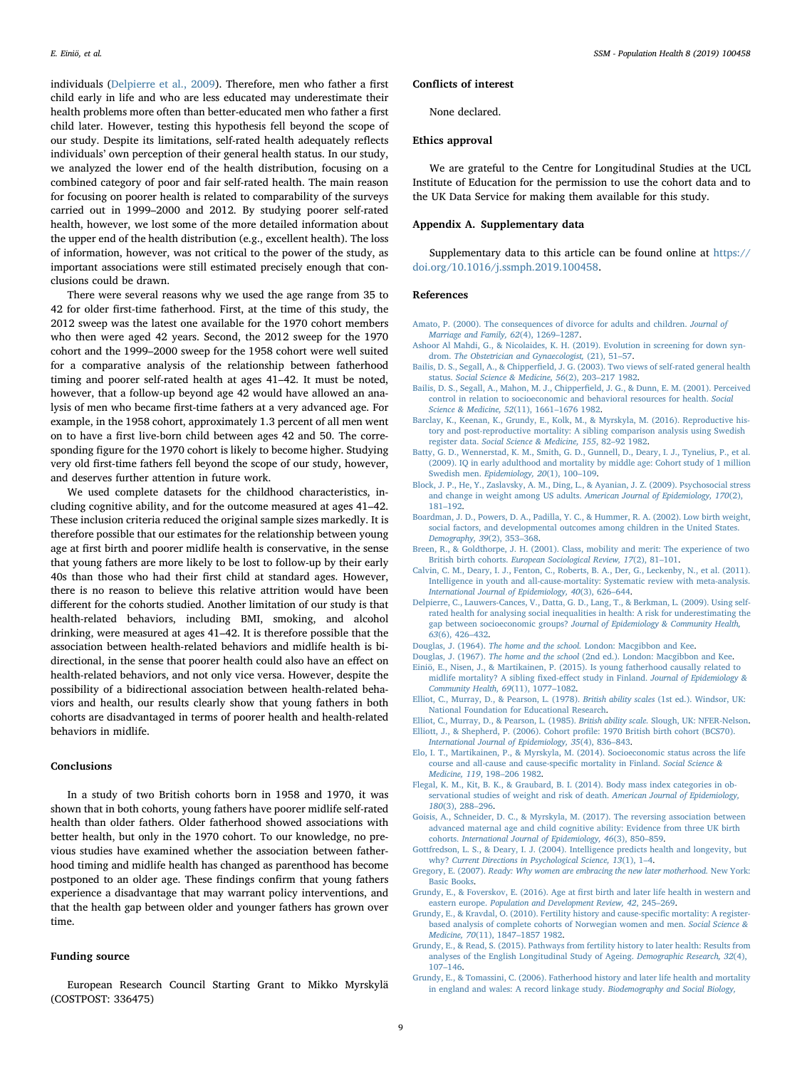individuals ([Delpierre et al., 2009\)](#page-8-24). Therefore, men who father a first child early in life and who are less educated may underestimate their health problems more often than better-educated men who father a first child later. However, testing this hypothesis fell beyond the scope of our study. Despite its limitations, self-rated health adequately reflects individuals' own perception of their general health status. In our study, we analyzed the lower end of the health distribution, focusing on a combined category of poor and fair self-rated health. The main reason for focusing on poorer health is related to comparability of the surveys carried out in 1999–2000 and 2012. By studying poorer self-rated health, however, we lost some of the more detailed information about the upper end of the health distribution (e.g., excellent health). The loss of information, however, was not critical to the power of the study, as important associations were still estimated precisely enough that conclusions could be drawn.

There were several reasons why we used the age range from 35 to 42 for older first-time fatherhood. First, at the time of this study, the 2012 sweep was the latest one available for the 1970 cohort members who then were aged 42 years. Second, the 2012 sweep for the 1970 cohort and the 1999–2000 sweep for the 1958 cohort were well suited for a comparative analysis of the relationship between fatherhood timing and poorer self-rated health at ages 41–42. It must be noted, however, that a follow-up beyond age 42 would have allowed an analysis of men who became first-time fathers at a very advanced age. For example, in the 1958 cohort, approximately 1.3 percent of all men went on to have a first live-born child between ages 42 and 50. The corresponding figure for the 1970 cohort is likely to become higher. Studying very old first-time fathers fell beyond the scope of our study, however, and deserves further attention in future work.

We used complete datasets for the childhood characteristics, including cognitive ability, and for the outcome measured at ages 41–42. These inclusion criteria reduced the original sample sizes markedly. It is therefore possible that our estimates for the relationship between young age at first birth and poorer midlife health is conservative, in the sense that young fathers are more likely to be lost to follow-up by their early 40s than those who had their first child at standard ages. However, there is no reason to believe this relative attrition would have been different for the cohorts studied. Another limitation of our study is that health-related behaviors, including BMI, smoking, and alcohol drinking, were measured at ages 41–42. It is therefore possible that the association between health-related behaviors and midlife health is bidirectional, in the sense that poorer health could also have an effect on health-related behaviors, and not only vice versa. However, despite the possibility of a bidirectional association between health-related behaviors and health, our results clearly show that young fathers in both cohorts are disadvantaged in terms of poorer health and health-related behaviors in midlife.

### Conclusions

In a study of two British cohorts born in 1958 and 1970, it was shown that in both cohorts, young fathers have poorer midlife self-rated health than older fathers. Older fatherhood showed associations with better health, but only in the 1970 cohort. To our knowledge, no previous studies have examined whether the association between fatherhood timing and midlife health has changed as parenthood has become postponed to an older age. These findings confirm that young fathers experience a disadvantage that may warrant policy interventions, and that the health gap between older and younger fathers has grown over time.

#### Funding source

European Research Council Starting Grant to Mikko Myrskylä (COSTPOST: 336475)

### Conflicts of interest

None declared.

# Ethics approval

We are grateful to the Centre for Longitudinal Studies at the UCL Institute of Education for the permission to use the cohort data and to the UK Data Service for making them available for this study.

# Appendix A. Supplementary data

Supplementary data to this article can be found online at [https://](https://doi.org/10.1016/j.ssmph.2019.100458) [doi.org/10.1016/j.ssmph.2019.100458.](https://doi.org/10.1016/j.ssmph.2019.100458)

# References

- <span id="page-8-20"></span>[Amato, P. \(2000\). The consequences of divorce for adults and children.](http://refhub.elsevier.com/S2352-8273(19)30163-6/sref1) Journal of [Marriage and Family, 62](http://refhub.elsevier.com/S2352-8273(19)30163-6/sref1)(4), 1269–1287.
- <span id="page-8-22"></span>[Ashoor Al Mahdi, G., & Nicolaides, K. H. \(2019\). Evolution in screening for down syn](http://refhub.elsevier.com/S2352-8273(19)30163-6/sref2)drom. [The Obstetrician and Gynaecologist,](http://refhub.elsevier.com/S2352-8273(19)30163-6/sref2) (21), 51–57.
- Bailis, D. S., Segall, A., & Chipperfi[eld, J. G. \(2003\). Two views of self-rated general health](http://refhub.elsevier.com/S2352-8273(19)30163-6/sref3) status. [Social Science & Medicine, 56](http://refhub.elsevier.com/S2352-8273(19)30163-6/sref3)(2), 203–217 1982.
- <span id="page-8-23"></span>[Bailis, D. S., Segall, A., Mahon, M. J., Chipper](http://refhub.elsevier.com/S2352-8273(19)30163-6/sref4)field, J. G., & Dunn, E. M. (2001). Perceived [control in relation to socioeconomic and behavioral resources for health.](http://refhub.elsevier.com/S2352-8273(19)30163-6/sref4) Social [Science & Medicine, 52](http://refhub.elsevier.com/S2352-8273(19)30163-6/sref4)(11), 1661–1676 1982.
- <span id="page-8-0"></span>[Barclay, K., Keenan, K., Grundy, E., Kolk, M., & Myrskyla, M. \(2016\). Reproductive his](http://refhub.elsevier.com/S2352-8273(19)30163-6/sref5)[tory and post-reproductive mortality: A sibling comparison analysis using Swedish](http://refhub.elsevier.com/S2352-8273(19)30163-6/sref5) register data. [Social Science & Medicine, 155](http://refhub.elsevier.com/S2352-8273(19)30163-6/sref5), 82–92 1982.
- <span id="page-8-6"></span>[Batty, G. D., Wennerstad, K. M., Smith, G. D., Gunnell, D., Deary, I. J., Tynelius, P., et al.](http://refhub.elsevier.com/S2352-8273(19)30163-6/sref6) [\(2009\). IQ in early adulthood and mortality by middle age: Cohort study of 1 million](http://refhub.elsevier.com/S2352-8273(19)30163-6/sref6) Swedish men. [Epidemiology, 20](http://refhub.elsevier.com/S2352-8273(19)30163-6/sref6)(1), 100–109.
- <span id="page-8-11"></span>[Block, J. P., He, Y., Zaslavsky, A. M., Ding, L., & Ayanian, J. Z. \(2009\). Psychosocial stress](http://refhub.elsevier.com/S2352-8273(19)30163-6/sref7) [and change in weight among US adults.](http://refhub.elsevier.com/S2352-8273(19)30163-6/sref7) American Journal of Epidemiology, 170(2), 181–[192](http://refhub.elsevier.com/S2352-8273(19)30163-6/sref7).
- <span id="page-8-14"></span>[Boardman, J. D., Powers, D. A., Padilla, Y. C., & Hummer, R. A. \(2002\). Low birth weight,](http://refhub.elsevier.com/S2352-8273(19)30163-6/sref8) [social factors, and developmental outcomes among children in the United States.](http://refhub.elsevier.com/S2352-8273(19)30163-6/sref8) [Demography, 39](http://refhub.elsevier.com/S2352-8273(19)30163-6/sref8)(2), 353–368.
- <span id="page-8-19"></span>[Breen, R., & Goldthorpe, J. H. \(2001\). Class, mobility and merit: The experience of two](http://refhub.elsevier.com/S2352-8273(19)30163-6/sref9) British birth cohorts. [European Sociological Review, 17](http://refhub.elsevier.com/S2352-8273(19)30163-6/sref9)(2), 81–101.
- <span id="page-8-7"></span>[Calvin, C. M., Deary, I. J., Fenton, C., Roberts, B. A., Der, G., Leckenby, N., et al. \(2011\).](http://refhub.elsevier.com/S2352-8273(19)30163-6/sref10) [Intelligence in youth and all-cause-mortality: Systematic review with meta-analysis.](http://refhub.elsevier.com/S2352-8273(19)30163-6/sref10) [International Journal of Epidemiology, 40](http://refhub.elsevier.com/S2352-8273(19)30163-6/sref10)(3), 626–644.
- <span id="page-8-24"></span>[Delpierre, C., Lauwers-Cances, V., Datta, G. D., Lang, T., & Berkman, L. \(2009\). Using self](http://refhub.elsevier.com/S2352-8273(19)30163-6/sref11)[rated health for analysing social inequalities in health: A risk for underestimating the](http://refhub.elsevier.com/S2352-8273(19)30163-6/sref11) gap between socioeconomic groups? [Journal of Epidemiology & Community Health,](http://refhub.elsevier.com/S2352-8273(19)30163-6/sref11) 63[\(6\), 426](http://refhub.elsevier.com/S2352-8273(19)30163-6/sref11)–432.
- <span id="page-8-15"></span>Douglas, J. (1964). The home and the school. [London: Macgibbon and Kee.](http://refhub.elsevier.com/S2352-8273(19)30163-6/sref12)
- <span id="page-8-17"></span><span id="page-8-1"></span>Douglas, J. (1967). The home and the school [\(2nd ed.\). London: Macgibbon and Kee](http://refhub.elsevier.com/S2352-8273(19)30163-6/sref13). [Einiö, E., Nisen, J., & Martikainen, P. \(2015\). Is young fatherhood causally related to](http://refhub.elsevier.com/S2352-8273(19)30163-6/sref14)
- [midlife mortality? A sibling](http://refhub.elsevier.com/S2352-8273(19)30163-6/sref14) fixed-effect study in Finland. Journal of Epidemiology & [Community Health, 69](http://refhub.elsevier.com/S2352-8273(19)30163-6/sref14)(11), 1077–1082.
- <span id="page-8-18"></span>[Elliot, C., Murray, D., & Pearson, L. \(1978\).](http://refhub.elsevier.com/S2352-8273(19)30163-6/sref15) British ability scales (1st ed.). Windsor, UK: [National Foundation for Educational Research](http://refhub.elsevier.com/S2352-8273(19)30163-6/sref15).
- <span id="page-8-16"></span><span id="page-8-12"></span>[Elliot, C., Murray, D., & Pearson, L. \(1985\).](http://refhub.elsevier.com/S2352-8273(19)30163-6/sref16) British ability scale. Slough, UK: NFER-Nelson. [Elliott, J., & Shepherd, P. \(2006\). Cohort pro](http://refhub.elsevier.com/S2352-8273(19)30163-6/sref17)file: 1970 British birth cohort (BCS70). [International Journal of Epidemiology, 35](http://refhub.elsevier.com/S2352-8273(19)30163-6/sref17)(4), 836–843.
- <span id="page-8-8"></span>[Elo, I. T., Martikainen, P., & Myrskyla, M. \(2014\). Socioeconomic status across the life](http://refhub.elsevier.com/S2352-8273(19)30163-6/sref18) [course and all-cause and cause-speci](http://refhub.elsevier.com/S2352-8273(19)30163-6/sref18)fic mortality in Finland. Social Science & [Medicine, 119](http://refhub.elsevier.com/S2352-8273(19)30163-6/sref18), 198–206 1982.
- <span id="page-8-21"></span>[Flegal, K. M., Kit, B. K., & Graubard, B. I. \(2014\). Body mass index categories in ob](http://refhub.elsevier.com/S2352-8273(19)30163-6/sref19)[servational studies of weight and risk of death.](http://refhub.elsevier.com/S2352-8273(19)30163-6/sref19) American Journal of Epidemiology, 180[\(3\), 288](http://refhub.elsevier.com/S2352-8273(19)30163-6/sref19)–296.
- <span id="page-8-13"></span>[Goisis, A., Schneider, D. C., & Myrskyla, M. \(2017\). The reversing association between](http://refhub.elsevier.com/S2352-8273(19)30163-6/sref20) [advanced maternal age and child cognitive ability: Evidence from three UK birth](http://refhub.elsevier.com/S2352-8273(19)30163-6/sref20) cohorts. [International Journal of Epidemiology, 46](http://refhub.elsevier.com/S2352-8273(19)30163-6/sref20)(3), 850–859.
- <span id="page-8-9"></span>[Gottfredson, L. S., & Deary, I. J. \(2004\). Intelligence predicts health and longevity, but](http://refhub.elsevier.com/S2352-8273(19)30163-6/sref21) why? [Current Directions in Psychological Science, 13](http://refhub.elsevier.com/S2352-8273(19)30163-6/sref21)(1), 1–4.
- <span id="page-8-10"></span>Gregory, E. (2007). [Ready: Why women are embracing the new later motherhood.](http://refhub.elsevier.com/S2352-8273(19)30163-6/sref22) New York: [Basic Books.](http://refhub.elsevier.com/S2352-8273(19)30163-6/sref22)
- <span id="page-8-5"></span>Grundy, E., & Foverskov, E. (2016). Age at fi[rst birth and later life health in western and](http://refhub.elsevier.com/S2352-8273(19)30163-6/sref23) eastern europe. [Population and Development Review, 42](http://refhub.elsevier.com/S2352-8273(19)30163-6/sref23), 245–269.
- <span id="page-8-2"></span>[Grundy, E., & Kravdal, O. \(2010\). Fertility history and cause-speci](http://refhub.elsevier.com/S2352-8273(19)30163-6/sref24)fic mortality: A register[based analysis of complete cohorts of Norwegian women and men.](http://refhub.elsevier.com/S2352-8273(19)30163-6/sref24) Social Science & [Medicine, 70](http://refhub.elsevier.com/S2352-8273(19)30163-6/sref24)(11), 1847–1857 1982.
- <span id="page-8-3"></span>[Grundy, E., & Read, S. \(2015\). Pathways from fertility history to later health: Results from](http://refhub.elsevier.com/S2352-8273(19)30163-6/sref25) [analyses of the English Longitudinal Study of Ageing.](http://refhub.elsevier.com/S2352-8273(19)30163-6/sref25) Demographic Research, 32(4), 107–[146](http://refhub.elsevier.com/S2352-8273(19)30163-6/sref25).
- <span id="page-8-4"></span>[Grundy, E., & Tomassini, C. \(2006\). Fatherhood history and later life health and mortality](http://refhub.elsevier.com/S2352-8273(19)30163-6/sref26) [in england and wales: A record linkage study.](http://refhub.elsevier.com/S2352-8273(19)30163-6/sref26) Biodemography and Social Biology,